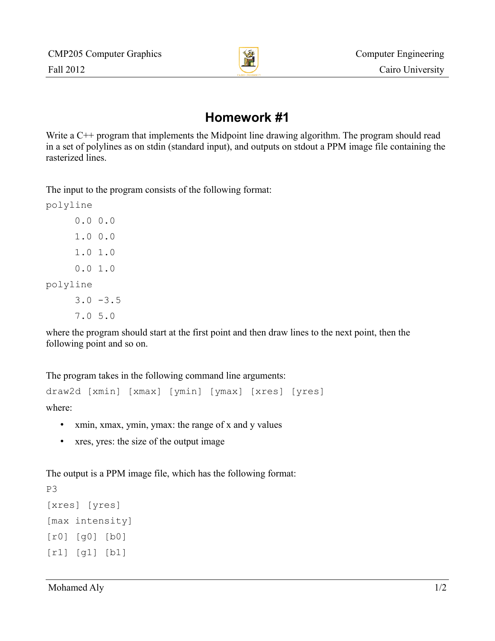

## **Homework #1**

Write a C<sup>++</sup> program that implements the Midpoint line drawing algorithm. The program should read in a set of polylines as on stdin (standard input), and outputs on stdout a PPM image file containing the rasterized lines.

The input to the program consists of the following format:

polyline 0.0 0.0 1.0 0.0 1.0 1.0 0.0 1.0 polyline  $3.0 - 3.5$ 7.0 5.0

where the program should start at the first point and then draw lines to the next point, then the following point and so on.

The program takes in the following command line arguments:

```
draw2d [xmin] [xmax] [ymin] [ymax] [xres] [yres]
where:
```
- xmin, xmax, ymin, ymax: the range of x and y values
- xres, yres: the size of the output image

The output is a PPM image file, which has the following format:

```
P3
[xres] [yres]
[max intensity]
[r0] [g0] [b0]
[r1] [g1] [b1]
```